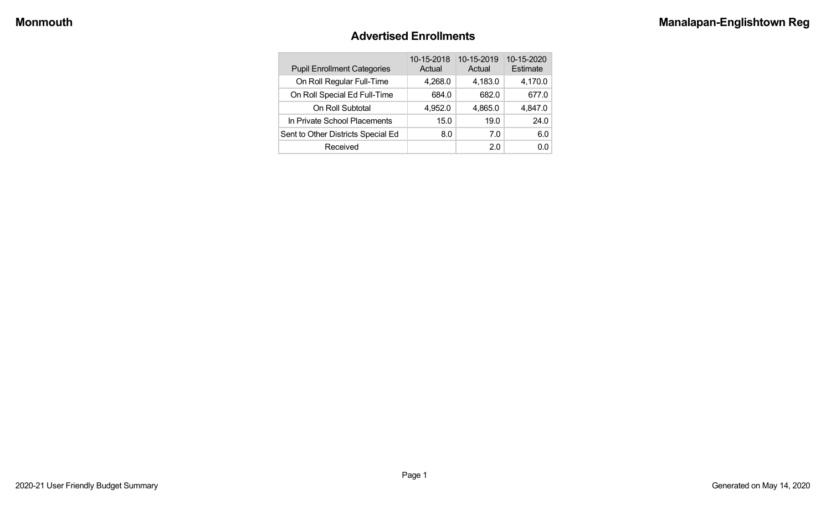#### **Advertised Enrollments**

| <b>Pupil Enrollment Categories</b> | 10-15-2018<br>Actual | 10-15-2019<br>Actual | 10-15-2020<br>Estimate |
|------------------------------------|----------------------|----------------------|------------------------|
| On Roll Regular Full-Time          | 4,268.0              | 4,183.0              | 4,170.0                |
| On Roll Special Ed Full-Time       | 684.0                | 682.0                | 677.0                  |
| On Roll Subtotal                   | 4,952.0              | 4,865.0              | 4,847.0                |
| In Private School Placements       | 15.0                 | 19.0                 | 24.0                   |
| Sent to Other Districts Special Ed | 8.0                  | 7.0                  | 6.0                    |
| Received                           |                      | 2.0                  | 0.0                    |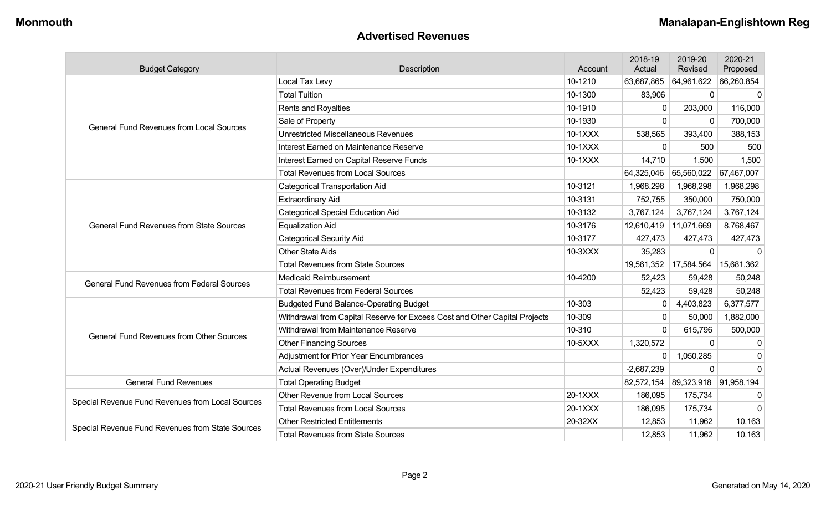#### **Advertised Revenues**

| <b>Budget Category</b>                            | Description                                                                | Account | 2018-19<br>Actual | 2019-20<br>Revised | 2020-21<br>Proposed |
|---------------------------------------------------|----------------------------------------------------------------------------|---------|-------------------|--------------------|---------------------|
|                                                   | Local Tax Levy                                                             | 10-1210 | 63,687,865        | 64,961,622         | 66,260,854          |
|                                                   | <b>Total Tuition</b>                                                       | 10-1300 | 83,906            | $\mathbf{0}$       | $\Omega$            |
|                                                   | <b>Rents and Royalties</b>                                                 | 10-1910 | $\Omega$          | 203,000            | 116,000             |
| <b>General Fund Revenues from Local Sources</b>   | Sale of Property                                                           | 10-1930 | $\Omega$          | $\Omega$           | 700,000             |
|                                                   | <b>Unrestricted Miscellaneous Revenues</b>                                 | 10-1XXX | 538,565           | 393,400            | 388,153             |
|                                                   | Interest Earned on Maintenance Reserve                                     | 10-1XXX | $\Omega$          | 500                | 500                 |
|                                                   | Interest Earned on Capital Reserve Funds                                   | 10-1XXX | 14,710            | 1,500              | 1,500               |
|                                                   | <b>Total Revenues from Local Sources</b>                                   |         | 64,325,046        | 65,560,022         | 67,467,007          |
|                                                   | <b>Categorical Transportation Aid</b>                                      | 10-3121 | 1,968,298         | 1,968,298          | 1,968,298           |
|                                                   | <b>Extraordinary Aid</b>                                                   | 10-3131 | 752,755           | 350,000            | 750,000             |
| <b>General Fund Revenues from State Sources</b>   | <b>Categorical Special Education Aid</b>                                   | 10-3132 | 3,767,124         | 3,767,124          | 3,767,124           |
|                                                   | <b>Equalization Aid</b>                                                    | 10-3176 | 12,610,419        | 11,071,669         | 8,768,467           |
|                                                   | <b>Categorical Security Aid</b>                                            | 10-3177 | 427,473           | 427,473            | 427,473             |
|                                                   | <b>Other State Aids</b>                                                    | 10-3XXX | 35,283            | $\Omega$           | $\Omega$            |
|                                                   | <b>Total Revenues from State Sources</b>                                   |         | 19,561,352        | 17,584,564         | 15,681,362          |
| <b>General Fund Revenues from Federal Sources</b> | Medicaid Reimbursement                                                     | 10-4200 | 52,423            | 59,428             | 50,248              |
|                                                   | <b>Total Revenues from Federal Sources</b>                                 |         | 52,423            | 59,428             | 50,248              |
|                                                   | <b>Budgeted Fund Balance-Operating Budget</b>                              | 10-303  | $\mathbf{0}$      | 4,403,823          | 6,377,577           |
|                                                   | Withdrawal from Capital Reserve for Excess Cost and Other Capital Projects | 10-309  | $\Omega$          | 50,000             | 1,882,000           |
| <b>General Fund Revenues from Other Sources</b>   | Withdrawal from Maintenance Reserve                                        | 10-310  | $\Omega$          | 615,796            | 500,000             |
|                                                   | <b>Other Financing Sources</b>                                             | 10-5XXX | 1,320,572         | $\mathbf 0$        | 0                   |
|                                                   | <b>Adjustment for Prior Year Encumbrances</b>                              |         | $\Omega$          | 1,050,285          | 0                   |
|                                                   | Actual Revenues (Over)/Under Expenditures                                  |         | $-2,687,239$      | $\Omega$           | $\Omega$            |
| <b>General Fund Revenues</b>                      | <b>Total Operating Budget</b>                                              |         | 82,572,154        | 89,323,918         | 91,958,194          |
| Special Revenue Fund Revenues from Local Sources  | <b>Other Revenue from Local Sources</b>                                    | 20-1XXX | 186,095           | 175,734            | 0                   |
|                                                   | <b>Total Revenues from Local Sources</b>                                   | 20-1XXX | 186,095           | 175,734            | $\Omega$            |
|                                                   | <b>Other Restricted Entitlements</b>                                       | 20-32XX | 12,853            | 11,962             | 10,163              |
| Special Revenue Fund Revenues from State Sources  | <b>Total Revenues from State Sources</b>                                   |         | 12,853            | 11,962             | 10,163              |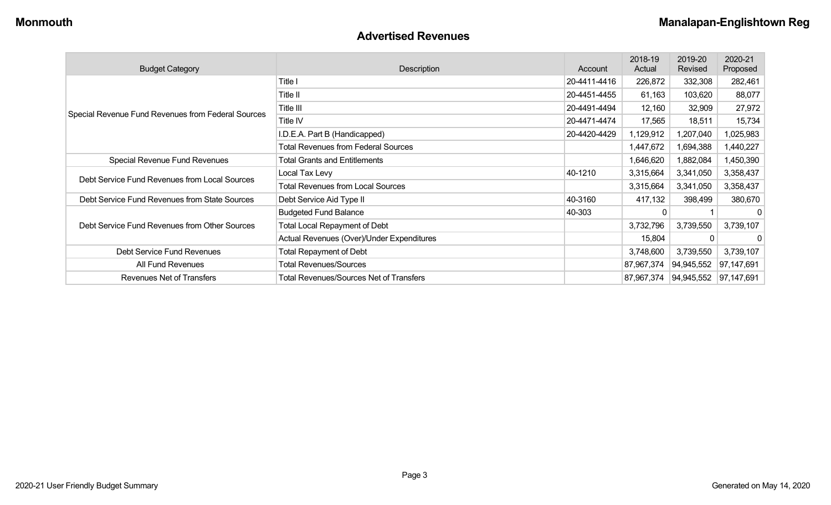#### **Advertised Revenues**

| <b>Budget Category</b>                             | Description                                    | Account      | 2018-19<br>Actual | 2019-20<br>Revised | 2020-21<br>Proposed |
|----------------------------------------------------|------------------------------------------------|--------------|-------------------|--------------------|---------------------|
|                                                    | Title I                                        | 20-4411-4416 | 226,872           | 332,308            | 282,461             |
|                                                    | Title II                                       | 20-4451-4455 | 61,163            | 103,620            | 88,077              |
| Special Revenue Fund Revenues from Federal Sources | Title III                                      | 20-4491-4494 | 12,160            | 32,909             | 27,972              |
|                                                    | <b>Title IV</b>                                | 20-4471-4474 | 17,565            | 18,511             | 15,734              |
|                                                    | I.D.E.A. Part B (Handicapped)                  | 20-4420-4429 | 1,129,912         | 1,207,040          | 1,025,983           |
|                                                    | <b>Total Revenues from Federal Sources</b>     |              | 1,447,672         | 1,694,388          | 1,440,227           |
| Special Revenue Fund Revenues                      | <b>Total Grants and Entitlements</b>           |              | 1,646,620         | 1,882,084          | 1,450,390           |
| Debt Service Fund Revenues from Local Sources      | Local Tax Levy                                 | 40-1210      | 3,315,664         | 3,341,050          | 3,358,437           |
|                                                    | <b>Total Revenues from Local Sources</b>       |              | 3,315,664         | 3,341,050          | 3,358,437           |
| Debt Service Fund Revenues from State Sources      | Debt Service Aid Type II                       | 40-3160      | 417,132           | 398,499            | 380,670             |
|                                                    | <b>Budgeted Fund Balance</b>                   | 40-303       | 0                 |                    | 0                   |
| Debt Service Fund Revenues from Other Sources      | <b>Total Local Repayment of Debt</b>           |              | 3,732,796         | 3,739,550          | 3,739,107           |
|                                                    | Actual Revenues (Over)/Under Expenditures      |              | 15,804            | 0                  | 0                   |
| Debt Service Fund Revenues                         | Total Repayment of Debt                        |              | 3,748,600         | 3,739,550          | 3,739,107           |
| All Fund Revenues                                  | <b>Total Revenues/Sources</b>                  |              | 87,967,374        | 94,945,552         | 97,147,691          |
| Revenues Net of Transfers                          | <b>Total Revenues/Sources Net of Transfers</b> |              | 87,967,374        | 94,945,552         | 97,147,691          |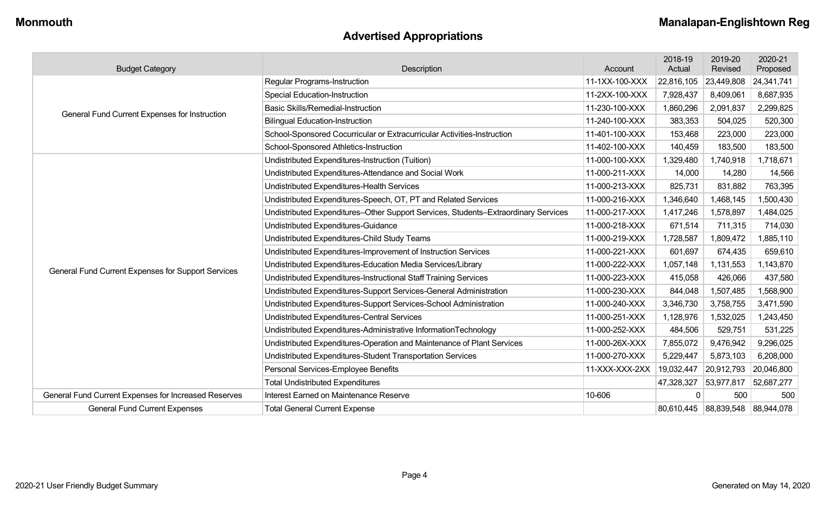# **Advertised Appropriations**

| <b>Budget Category</b>                               | Description                                                                        | Account        | 2018-19<br>Actual | 2019-20<br>Revised               | 2020-21<br>Proposed |
|------------------------------------------------------|------------------------------------------------------------------------------------|----------------|-------------------|----------------------------------|---------------------|
|                                                      | <b>Regular Programs-Instruction</b>                                                | 11-1XX-100-XXX | 22,816,105        | 23,449,808                       | 24,341,741          |
|                                                      | <b>Special Education-Instruction</b>                                               | 11-2XX-100-XXX | 7,928,437         | 8,409,061                        | 8,687,935           |
| General Fund Current Expenses for Instruction        | <b>Basic Skills/Remedial-Instruction</b>                                           | 11-230-100-XXX | 1,860,296         | 2,091,837                        | 2,299,825           |
|                                                      | <b>Bilingual Education-Instruction</b>                                             | 11-240-100-XXX | 383,353           | 504,025                          | 520,300             |
|                                                      | School-Sponsored Cocurricular or Extracurricular Activities-Instruction            | 11-401-100-XXX | 153,468           | 223,000                          | 223,000             |
|                                                      | School-Sponsored Athletics-Instruction                                             | 11-402-100-XXX | 140,459           | 183,500                          | 183,500             |
|                                                      | Undistributed Expenditures-Instruction (Tuition)                                   | 11-000-100-XXX | 1,329,480         | 1,740,918                        | 1,718,671           |
|                                                      | Undistributed Expenditures-Attendance and Social Work                              | 11-000-211-XXX | 14,000            | 14,280                           | 14,566              |
|                                                      | Undistributed Expenditures-Health Services                                         | 11-000-213-XXX | 825,731           | 831,882                          | 763,395             |
|                                                      | Undistributed Expenditures-Speech, OT, PT and Related Services                     | 11-000-216-XXX | 1,346,640         | 1,468,145                        | 1,500,430           |
|                                                      | Undistributed Expenditures-Other Support Services, Students-Extraordinary Services | 11-000-217-XXX | 1,417,246         | 1,578,897                        | 1,484,025           |
|                                                      | Undistributed Expenditures-Guidance                                                | 11-000-218-XXX | 671,514           | 711,315                          | 714,030             |
|                                                      | Undistributed Expenditures-Child Study Teams                                       | 11-000-219-XXX | 1,728,587         | 1,809,472                        | 1,885,110           |
|                                                      | Undistributed Expenditures-Improvement of Instruction Services                     | 11-000-221-XXX | 601,697           | 674,435                          | 659,610             |
| General Fund Current Expenses for Support Services   | Undistributed Expenditures-Education Media Services/Library                        | 11-000-222-XXX | 1,057,148         | 1,131,553                        | 1,143,870           |
|                                                      | Undistributed Expenditures-Instructional Staff Training Services                   | 11-000-223-XXX | 415,058           | 426,066                          | 437,580             |
|                                                      | Undistributed Expenditures-Support Services-General Administration                 | 11-000-230-XXX | 844,048           | 1,507,485                        | 1,568,900           |
|                                                      | Undistributed Expenditures-Support Services-School Administration                  | 11-000-240-XXX | 3,346,730         | 3,758,755                        | 3,471,590           |
|                                                      | Undistributed Expenditures-Central Services                                        | 11-000-251-XXX | 1,128,976         | 1,532,025                        | 1,243,450           |
|                                                      | Undistributed Expenditures-Administrative InformationTechnology                    | 11-000-252-XXX | 484,506           | 529,751                          | 531,225             |
|                                                      | Undistributed Expenditures-Operation and Maintenance of Plant Services             | 11-000-26X-XXX | 7,855,072         | 9,476,942                        | 9,296,025           |
|                                                      | Undistributed Expenditures-Student Transportation Services                         | 11-000-270-XXX | 5,229,447         | 5,873,103                        | 6,208,000           |
|                                                      | Personal Services-Employee Benefits                                                | 11-XXX-XXX-2XX | 19,032,447        | 20,912,793                       | 20,046,800          |
|                                                      | <b>Total Undistributed Expenditures</b>                                            |                | 47,328,327        | 53,977,817                       | 52,687,277          |
| General Fund Current Expenses for Increased Reserves | Interest Earned on Maintenance Reserve                                             | 10-606         | 0                 | 500                              | 500                 |
| <b>General Fund Current Expenses</b>                 | <b>Total General Current Expense</b>                                               |                |                   | 80,610,445 88,839,548 88,944,078 |                     |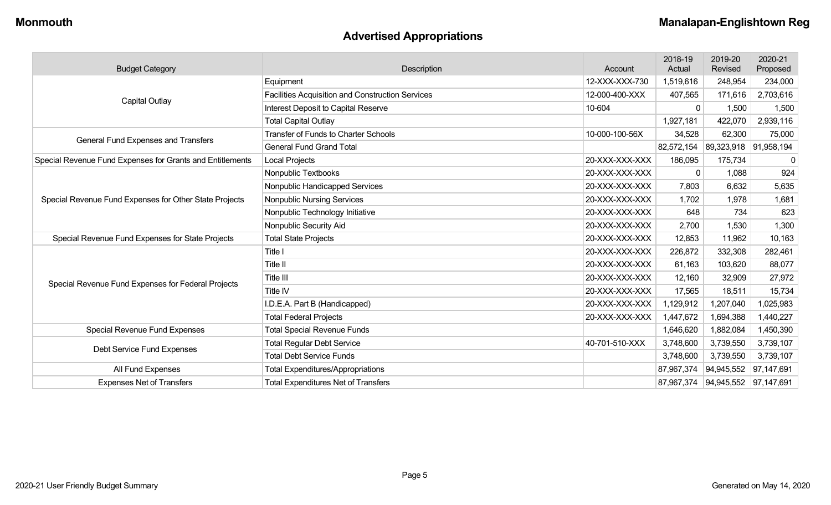# **Advertised Appropriations**

| <b>Budget Category</b>                                    | Description                                             | Account        | 2018-19<br>Actual | 2019-20<br>Revised    | 2020-21<br>Proposed |
|-----------------------------------------------------------|---------------------------------------------------------|----------------|-------------------|-----------------------|---------------------|
|                                                           | Equipment                                               | 12-XXX-XXX-730 | 1,519,616         | 248,954               | 234,000             |
|                                                           | <b>Facilities Acquisition and Construction Services</b> | 12-000-400-XXX | 407,565           | 171,616               | 2,703,616           |
| Capital Outlay                                            | <b>Interest Deposit to Capital Reserve</b>              | 10-604         | $\mathbf{0}$      | 1,500                 | 1,500               |
|                                                           | <b>Total Capital Outlay</b>                             |                | 1,927,181         | 422,070               | 2,939,116           |
| <b>General Fund Expenses and Transfers</b>                | <b>Transfer of Funds to Charter Schools</b>             | 10-000-100-56X | 34,528            | 62,300                | 75,000              |
|                                                           | <b>General Fund Grand Total</b>                         |                | 82,572,154        | 89,323,918 91,958,194 |                     |
| Special Revenue Fund Expenses for Grants and Entitlements | Local Projects                                          | 20-XXX-XXX-XXX | 186,095           | 175,734               | 0                   |
|                                                           | Nonpublic Textbooks                                     | 20-XXX-XXX-XXX | $\Omega$          | 1,088                 | 924                 |
|                                                           | Nonpublic Handicapped Services                          | 20-XXX-XXX-XXX | 7,803             | 6,632                 | 5,635               |
| Special Revenue Fund Expenses for Other State Projects    | <b>Nonpublic Nursing Services</b>                       | 20-XXX-XXX-XXX | 1,702             | 1,978                 | 1,681               |
|                                                           | Nonpublic Technology Initiative                         | 20-XXX-XXX-XXX | 648               | 734                   | 623                 |
|                                                           | Nonpublic Security Aid                                  | 20-XXX-XXX-XXX | 2,700             | 1,530                 | 1,300               |
| Special Revenue Fund Expenses for State Projects          | <b>Total State Projects</b>                             | 20-XXX-XXX-XXX | 12,853            | 11,962                | 10,163              |
|                                                           | Title I                                                 | 20-XXX-XXX-XXX | 226,872           | 332,308               | 282,461             |
|                                                           | Title II                                                | 20-XXX-XXX-XXX | 61,163            | 103,620               | 88,077              |
| Special Revenue Fund Expenses for Federal Projects        | Title III                                               | 20-XXX-XXX-XXX | 12,160            | 32,909                | 27,972              |
|                                                           | Title IV                                                | 20-XXX-XXX-XXX | 17,565            | 18,511                | 15,734              |
|                                                           | I.D.E.A. Part B (Handicapped)                           | 20-XXX-XXX-XXX | 1,129,912         | 1,207,040             | 1,025,983           |
|                                                           | <b>Total Federal Projects</b>                           | 20-XXX-XXX-XXX | 1,447,672         | 1,694,388             | 1,440,227           |
| Special Revenue Fund Expenses                             | <b>Total Special Revenue Funds</b>                      |                | 1,646,620         | 1,882,084             | 1,450,390           |
|                                                           | <b>Total Regular Debt Service</b>                       | 40-701-510-XXX | 3,748,600         | 3,739,550             | 3,739,107           |
| Debt Service Fund Expenses                                | <b>Total Debt Service Funds</b>                         |                | 3,748,600         | 3,739,550             | 3,739,107           |
| All Fund Expenses                                         | <b>Total Expenditures/Appropriations</b>                |                | 87,967,374        | 94,945,552            | 97,147,691          |
| <b>Expenses Net of Transfers</b>                          | <b>Total Expenditures Net of Transfers</b>              |                | 87,967,374        | 94,945,552 97,147,691 |                     |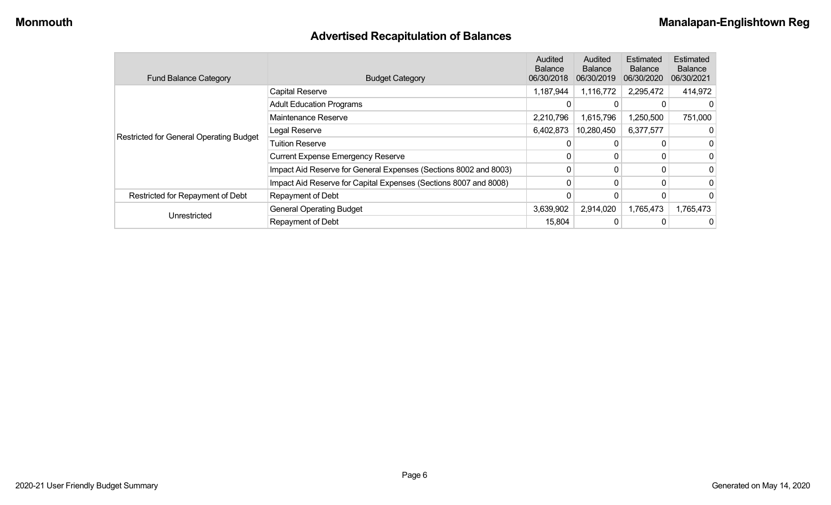# **Advertised Recapitulation of Balances**

| <b>Fund Balance Category</b>            | <b>Budget Category</b>                                           | Audited<br><b>Balance</b><br>06/30/2018 | Audited<br><b>Balance</b><br>06/30/2019 | Estimated<br><b>Balance</b><br>06/30/2020 | Estimated<br><b>Balance</b><br>06/30/2021 |
|-----------------------------------------|------------------------------------------------------------------|-----------------------------------------|-----------------------------------------|-------------------------------------------|-------------------------------------------|
|                                         | <b>Capital Reserve</b>                                           | 1,187,944                               | 1,116,772                               | 2,295,472                                 | 414,972                                   |
|                                         | <b>Adult Education Programs</b>                                  |                                         |                                         |                                           |                                           |
|                                         | Maintenance Reserve                                              | 2,210,796                               | 1,615,796                               | ,250,500                                  | 751,000                                   |
|                                         | Legal Reserve                                                    | 6,402,873                               | 10,280,450                              | 6,377,577                                 |                                           |
| Restricted for General Operating Budget | <b>Tuition Reserve</b>                                           |                                         |                                         |                                           | $\mathbf 0$                               |
|                                         | <b>Current Expense Emergency Reserve</b>                         |                                         |                                         |                                           | $\mathbf 0$                               |
|                                         | Impact Aid Reserve for General Expenses (Sections 8002 and 8003) | 0                                       |                                         |                                           | 0                                         |
|                                         | Impact Aid Reserve for Capital Expenses (Sections 8007 and 8008) |                                         |                                         |                                           | 0                                         |
| Restricted for Repayment of Debt        | Repayment of Debt                                                |                                         |                                         |                                           | $\Omega$                                  |
| Unrestricted                            | <b>General Operating Budget</b>                                  | 3,639,902                               | 2,914,020                               | 1,765,473                                 | 1,765,473                                 |
|                                         | Repayment of Debt                                                | 15,804                                  |                                         |                                           | 0                                         |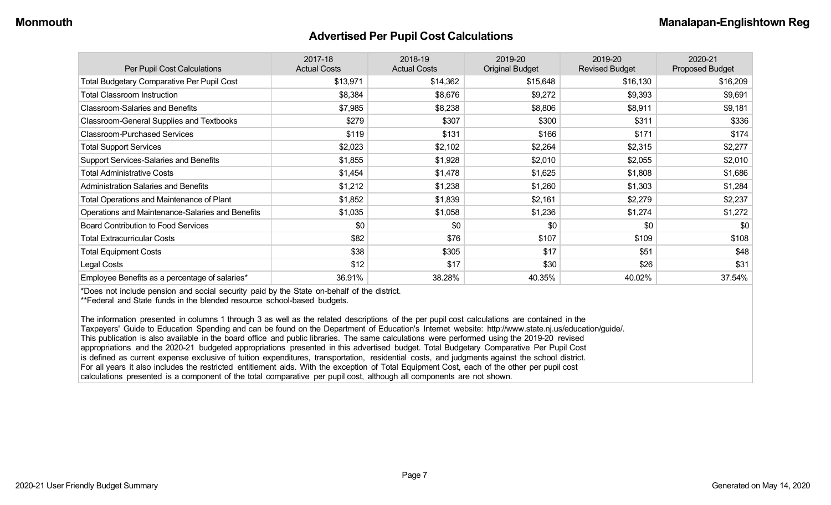#### **Advertised Per Pupil Cost Calculations**

| Per Pupil Cost Calculations                       | 2017-18<br><b>Actual Costs</b> | 2018-19<br><b>Actual Costs</b> | 2019-20<br><b>Original Budget</b> | 2019-20<br><b>Revised Budget</b> | 2020-21<br><b>Proposed Budget</b> |
|---------------------------------------------------|--------------------------------|--------------------------------|-----------------------------------|----------------------------------|-----------------------------------|
| <b>Total Budgetary Comparative Per Pupil Cost</b> | \$13,971                       | \$14,362                       | \$15,648                          | \$16,130                         | \$16,209                          |
| <b>Total Classroom Instruction</b>                | \$8,384                        | \$8,676                        | \$9,272                           | \$9,393                          | \$9,691                           |
| <b>Classroom-Salaries and Benefits</b>            | \$7,985                        | \$8,238                        | \$8,806                           | \$8,911                          | \$9,181                           |
| Classroom-General Supplies and Textbooks          | \$279                          | \$307                          | \$300                             | \$311                            | \$336                             |
| <b>Classroom-Purchased Services</b>               | \$119                          | \$131                          | \$166                             | \$171                            | \$174                             |
| <b>Total Support Services</b>                     | \$2,023                        | \$2,102                        | \$2,264                           | \$2,315                          | \$2,277                           |
| Support Services-Salaries and Benefits            | \$1,855                        | \$1,928                        | \$2,010                           | \$2,055                          | \$2,010                           |
| <b>Total Administrative Costs</b>                 | \$1,454                        | \$1,478                        | \$1,625                           | \$1,808                          | \$1,686                           |
| <b>Administration Salaries and Benefits</b>       | \$1,212                        | \$1,238                        | \$1,260                           | \$1,303                          | \$1,284                           |
| <b>Total Operations and Maintenance of Plant</b>  | \$1,852                        | \$1,839                        | \$2,161                           | \$2,279                          | \$2,237                           |
| Operations and Maintenance-Salaries and Benefits  | \$1,035                        | \$1,058                        | \$1,236                           | \$1,274                          | \$1,272                           |
| <b>Board Contribution to Food Services</b>        | \$0                            | \$0                            | \$0                               | \$0                              | \$0                               |
| <b>Total Extracurricular Costs</b>                | \$82                           | \$76                           | \$107                             | \$109                            | \$108                             |
| <b>Total Equipment Costs</b>                      | \$38                           | \$305                          | \$17                              | \$51                             | \$48                              |
| Legal Costs                                       | \$12                           | \$17                           | \$30                              | \$26                             | \$31                              |
| Employee Benefits as a percentage of salaries*    | 36.91%                         | 38.28%                         | 40.35%                            | 40.02%                           | 37.54%                            |

\*Does not include pension and social security paid by the State on-behalf of the district.

\*\*Federal and State funds in the blended resource school-based budgets.

The information presented in columns 1 through 3 as well as the related descriptions of the per pupil cost calculations are contained in the Taxpayers' Guide to Education Spending and can be found on the Department of Education's Internet website: http://www.state.nj.us/education/guide/. This publication is also available in the board office and public libraries. The same calculations were performed using the 2019-20 revised appropriations and the 2020-21 budgeted appropriations presented in this advertised budget. Total Budgetary Comparative Per Pupil Cost is defined as current expense exclusive of tuition expenditures, transportation, residential costs, and judgments against the school district. For all years it also includes the restricted entitlement aids. With the exception of Total Equipment Cost, each of the other per pupil cost calculations presented is a component of the total comparative per pupil cost, although all components are not shown.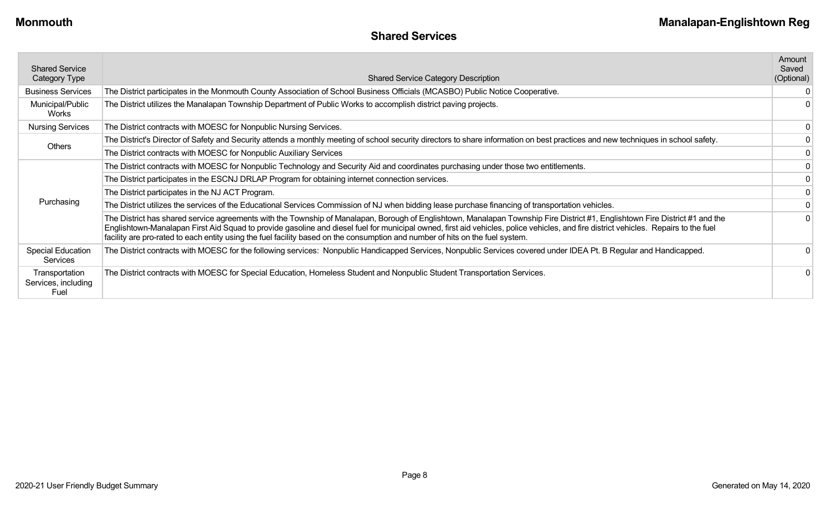| <b>Shared Service</b><br>Category Type        | <b>Shared Service Category Description</b>                                                                                                                                                                                                                                                                                                                                                                                                                                                           | Amount<br>Saved<br>(Optional) |
|-----------------------------------------------|------------------------------------------------------------------------------------------------------------------------------------------------------------------------------------------------------------------------------------------------------------------------------------------------------------------------------------------------------------------------------------------------------------------------------------------------------------------------------------------------------|-------------------------------|
| <b>Business Services</b>                      | The District participates in the Monmouth County Association of School Business Officials (MCASBO) Public Notice Cooperative.                                                                                                                                                                                                                                                                                                                                                                        |                               |
| Municipal/Public<br>Works                     | The District utilizes the Manalapan Township Department of Public Works to accomplish district paving projects.                                                                                                                                                                                                                                                                                                                                                                                      |                               |
| <b>Nursing Services</b>                       | The District contracts with MOESC for Nonpublic Nursing Services.                                                                                                                                                                                                                                                                                                                                                                                                                                    |                               |
| Others                                        | The District's Director of Safety and Security attends a monthly meeting of school security directors to share information on best practices and new techniques in school safety.                                                                                                                                                                                                                                                                                                                    |                               |
|                                               | The District contracts with MOESC for Nonpublic Auxiliary Services                                                                                                                                                                                                                                                                                                                                                                                                                                   |                               |
|                                               | The District contracts with MOESC for Nonpublic Technology and Security Aid and coordinates purchasing under those two entitlements.                                                                                                                                                                                                                                                                                                                                                                 |                               |
|                                               | The District participates in the ESCNJ DRLAP Program for obtaining internet connection services.                                                                                                                                                                                                                                                                                                                                                                                                     |                               |
|                                               | The District participates in the NJ ACT Program.                                                                                                                                                                                                                                                                                                                                                                                                                                                     |                               |
| Purchasing                                    | The District utilizes the services of the Educational Services Commission of NJ when bidding lease purchase financing of transportation vehicles.                                                                                                                                                                                                                                                                                                                                                    |                               |
|                                               | The District has shared service agreements with the Township of Manalapan, Borough of Englishtown, Manalapan Township Fire District #1, Englishtown Fire District #1 and the<br>Englishtown-Manalapan First Aid Squad to provide gasoline and diesel fuel for municipal owned, first aid vehicles, police vehicles, and fire district vehicles. Repairs to the fuel<br>facility are pro-rated to each entity using the fuel facility based on the consumption and number of hits on the fuel system. |                               |
| <b>Special Education</b><br>Services          | The District contracts with MOESC for the following services: Nonpublic Handicapped Services, Nonpublic Services covered under IDEA Pt. B Regular and Handicapped.                                                                                                                                                                                                                                                                                                                                   |                               |
| Transportation<br>Services, including<br>Fuel | The District contracts with MOESC for Special Education, Homeless Student and Nonpublic Student Transportation Services.                                                                                                                                                                                                                                                                                                                                                                             |                               |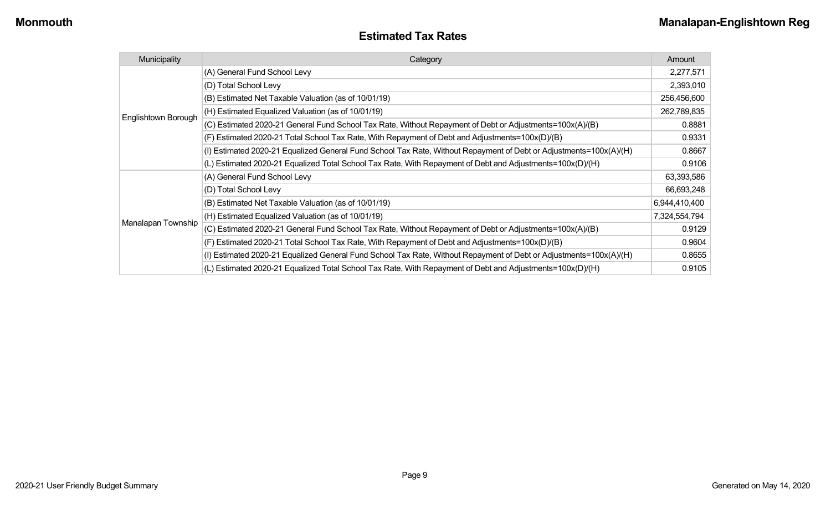| <b>Estimated Tax Rates</b> |  |
|----------------------------|--|
|----------------------------|--|

| Municipality        | Category                                                                                                           |               |  |  |
|---------------------|--------------------------------------------------------------------------------------------------------------------|---------------|--|--|
|                     | (A) General Fund School Levy                                                                                       | 2,277,571     |  |  |
|                     | (D) Total School Levy                                                                                              | 2,393,010     |  |  |
|                     | (B) Estimated Net Taxable Valuation (as of 10/01/19)                                                               | 256,456,600   |  |  |
| Englishtown Borough | (H) Estimated Equalized Valuation (as of 10/01/19)                                                                 | 262,789,835   |  |  |
|                     | (C) Estimated 2020-21 General Fund School Tax Rate, Without Repayment of Debt or Adjustments=100x(A)/(B)           | 0.8881        |  |  |
|                     | (F) Estimated 2020-21 Total School Tax Rate, With Repayment of Debt and Adjustments=100x(D)/(B)                    | 0.9331        |  |  |
|                     | (I) Estimated 2020-21 Equalized General Fund School Tax Rate, Without Repayment of Debt or Adjustments=100x(A)/(H) | 0.8667        |  |  |
|                     | (L) Estimated 2020-21 Equalized Total School Tax Rate, With Repayment of Debt and Adjustments=100x(D)/(H)          | 0.9106        |  |  |
|                     | (A) General Fund School Levy                                                                                       | 63,393,586    |  |  |
|                     | (D) Total School Levy                                                                                              | 66,693,248    |  |  |
|                     | (B) Estimated Net Taxable Valuation (as of 10/01/19)                                                               | 6,944,410,400 |  |  |
|                     | (H) Estimated Equalized Valuation (as of 10/01/19)                                                                 | 7,324,554,794 |  |  |
| Manalapan Township  | (C) Estimated 2020-21 General Fund School Tax Rate, Without Repayment of Debt or Adjustments=100x(A)/(B)           | 0.9129        |  |  |
|                     | (F) Estimated 2020-21 Total School Tax Rate, With Repayment of Debt and Adjustments=100x(D)/(B)                    | 0.9604        |  |  |
|                     | (I) Estimated 2020-21 Equalized General Fund School Tax Rate, Without Repayment of Debt or Adjustments=100x(A)/(H) | 0.8655        |  |  |
|                     | (L) Estimated 2020-21 Equalized Total School Tax Rate, With Repayment of Debt and Adjustments=100x(D)/(H)          | 0.9105        |  |  |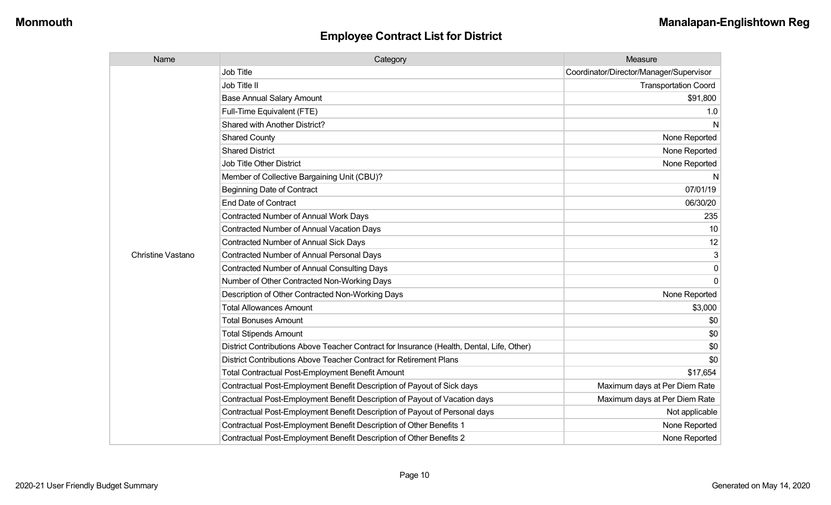| Name                     | Category                                                                                  | Measure                                 |
|--------------------------|-------------------------------------------------------------------------------------------|-----------------------------------------|
|                          | <b>Job Title</b>                                                                          | Coordinator/Director/Manager/Supervisor |
|                          | Job Title II                                                                              | <b>Transportation Coord</b>             |
|                          | <b>Base Annual Salary Amount</b>                                                          | \$91,800                                |
|                          | Full-Time Equivalent (FTE)                                                                | 1.0                                     |
|                          | Shared with Another District?                                                             | N                                       |
|                          | <b>Shared County</b>                                                                      | None Reported                           |
|                          | <b>Shared District</b>                                                                    | None Reported                           |
|                          | <b>Job Title Other District</b>                                                           | None Reported                           |
|                          | Member of Collective Bargaining Unit (CBU)?                                               | N                                       |
|                          | <b>Beginning Date of Contract</b>                                                         | 07/01/19                                |
|                          | <b>End Date of Contract</b>                                                               | 06/30/20                                |
|                          | Contracted Number of Annual Work Days                                                     | 235                                     |
|                          | Contracted Number of Annual Vacation Days                                                 | 10                                      |
|                          | <b>Contracted Number of Annual Sick Days</b>                                              | 12                                      |
| <b>Christine Vastano</b> | <b>Contracted Number of Annual Personal Days</b>                                          | 3                                       |
|                          | <b>Contracted Number of Annual Consulting Days</b>                                        | 0                                       |
|                          | Number of Other Contracted Non-Working Days                                               | $\Omega$                                |
|                          | Description of Other Contracted Non-Working Days                                          | None Reported                           |
|                          | <b>Total Allowances Amount</b>                                                            | \$3,000                                 |
|                          | <b>Total Bonuses Amount</b>                                                               | \$0                                     |
|                          | <b>Total Stipends Amount</b>                                                              | \$0                                     |
|                          | District Contributions Above Teacher Contract for Insurance (Health, Dental, Life, Other) | \$0                                     |
|                          | District Contributions Above Teacher Contract for Retirement Plans                        | \$0                                     |
|                          | <b>Total Contractual Post-Employment Benefit Amount</b>                                   | \$17,654                                |
|                          | Contractual Post-Employment Benefit Description of Payout of Sick days                    | Maximum days at Per Diem Rate           |
|                          | Contractual Post-Employment Benefit Description of Payout of Vacation days                | Maximum days at Per Diem Rate           |
|                          | Contractual Post-Employment Benefit Description of Payout of Personal days                | Not applicable                          |
|                          | Contractual Post-Employment Benefit Description of Other Benefits 1                       | None Reported                           |
|                          | Contractual Post-Employment Benefit Description of Other Benefits 2                       | None Reported                           |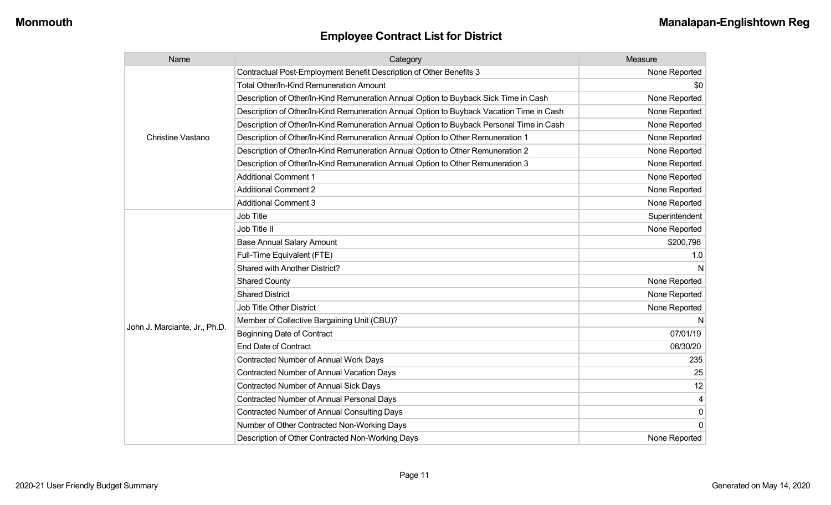| Name                          | Category                                                                                 | Measure        |
|-------------------------------|------------------------------------------------------------------------------------------|----------------|
|                               | Contractual Post-Employment Benefit Description of Other Benefits 3                      | None Reported  |
|                               | Total Other/In-Kind Remuneration Amount                                                  | \$0            |
|                               | Description of Other/In-Kind Remuneration Annual Option to Buyback Sick Time in Cash     | None Reported  |
|                               | Description of Other/In-Kind Remuneration Annual Option to Buyback Vacation Time in Cash | None Reported  |
|                               | Description of Other/In-Kind Remuneration Annual Option to Buyback Personal Time in Cash | None Reported  |
| Christine Vastano             | Description of Other/In-Kind Remuneration Annual Option to Other Remuneration 1          | None Reported  |
|                               | Description of Other/In-Kind Remuneration Annual Option to Other Remuneration 2          | None Reported  |
|                               | Description of Other/In-Kind Remuneration Annual Option to Other Remuneration 3          | None Reported  |
|                               | <b>Additional Comment 1</b>                                                              | None Reported  |
|                               | <b>Additional Comment 2</b>                                                              | None Reported  |
|                               | <b>Additional Comment 3</b>                                                              | None Reported  |
|                               | Job Title                                                                                | Superintendent |
|                               | Job Title II                                                                             | None Reported  |
|                               | <b>Base Annual Salary Amount</b>                                                         | \$200,798      |
|                               | Full-Time Equivalent (FTE)                                                               | 1.0            |
|                               | Shared with Another District?                                                            |                |
|                               | <b>Shared County</b>                                                                     | None Reported  |
|                               | <b>Shared District</b>                                                                   | None Reported  |
|                               | Job Title Other District                                                                 | None Reported  |
|                               | Member of Collective Bargaining Unit (CBU)?                                              |                |
| John J. Marciante, Jr., Ph.D. | <b>Beginning Date of Contract</b>                                                        | 07/01/19       |
|                               | <b>End Date of Contract</b>                                                              | 06/30/20       |
|                               | Contracted Number of Annual Work Days                                                    | 235            |
|                               | <b>Contracted Number of Annual Vacation Days</b>                                         | 25             |
|                               | <b>Contracted Number of Annual Sick Days</b>                                             | 12             |
|                               | <b>Contracted Number of Annual Personal Days</b>                                         |                |
|                               | <b>Contracted Number of Annual Consulting Days</b>                                       | 0              |
|                               | Number of Other Contracted Non-Working Days                                              | $\Omega$       |
|                               | Description of Other Contracted Non-Working Days                                         | None Reported  |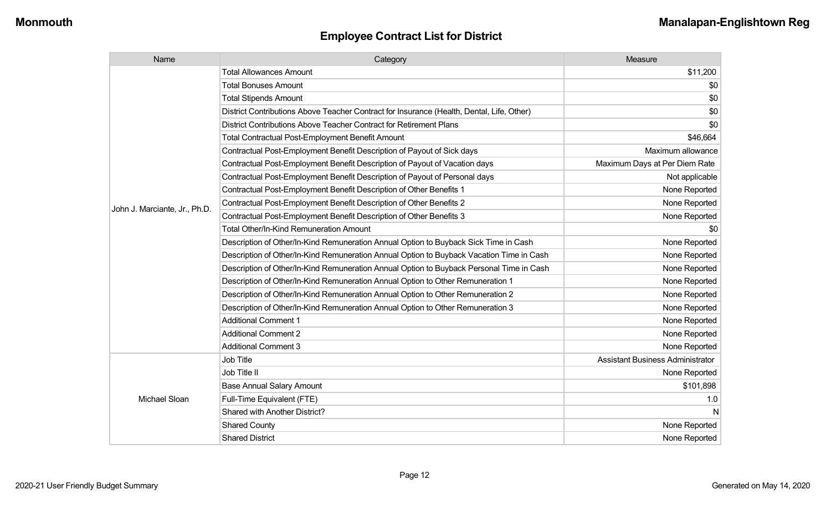| Name                          | Category                                                                                  | Measure                                 |
|-------------------------------|-------------------------------------------------------------------------------------------|-----------------------------------------|
|                               | <b>Total Allowances Amount</b>                                                            | \$11,200                                |
|                               | <b>Total Bonuses Amount</b>                                                               | \$0                                     |
|                               | <b>Total Stipends Amount</b>                                                              | \$0                                     |
|                               | District Contributions Above Teacher Contract for Insurance (Health, Dental, Life, Other) | \$0                                     |
|                               | District Contributions Above Teacher Contract for Retirement Plans                        | \$0                                     |
|                               | <b>Total Contractual Post-Employment Benefit Amount</b>                                   | \$46,664                                |
|                               | Contractual Post-Employment Benefit Description of Payout of Sick days                    | Maximum allowance                       |
|                               | Contractual Post-Employment Benefit Description of Payout of Vacation days                | Maximum Days at Per Diem Rate           |
|                               | Contractual Post-Employment Benefit Description of Payout of Personal days                | Not applicable                          |
|                               | Contractual Post-Employment Benefit Description of Other Benefits 1                       | None Reported                           |
| John J. Marciante, Jr., Ph.D. | Contractual Post-Employment Benefit Description of Other Benefits 2                       | None Reported                           |
|                               | Contractual Post-Employment Benefit Description of Other Benefits 3                       | None Reported                           |
|                               | Total Other/In-Kind Remuneration Amount                                                   | \$0                                     |
|                               | Description of Other/In-Kind Remuneration Annual Option to Buyback Sick Time in Cash      | None Reported                           |
|                               | Description of Other/In-Kind Remuneration Annual Option to Buyback Vacation Time in Cash  | None Reported                           |
|                               | Description of Other/In-Kind Remuneration Annual Option to Buyback Personal Time in Cash  | None Reported                           |
|                               | Description of Other/In-Kind Remuneration Annual Option to Other Remuneration 1           | None Reported                           |
|                               | Description of Other/In-Kind Remuneration Annual Option to Other Remuneration 2           | None Reported                           |
|                               | Description of Other/In-Kind Remuneration Annual Option to Other Remuneration 3           | None Reported                           |
|                               | <b>Additional Comment 1</b>                                                               | None Reported                           |
|                               | <b>Additional Comment 2</b>                                                               | None Reported                           |
|                               | <b>Additional Comment 3</b>                                                               | None Reported                           |
|                               | Job Title                                                                                 | <b>Assistant Business Administrator</b> |
|                               | Job Title II                                                                              | None Reported                           |
|                               | <b>Base Annual Salary Amount</b>                                                          | \$101,898                               |
| Michael Sloan                 | Full-Time Equivalent (FTE)                                                                | 1.0                                     |
|                               | Shared with Another District?                                                             | N                                       |
|                               | <b>Shared County</b>                                                                      | None Reported                           |
|                               | <b>Shared District</b>                                                                    | None Reported                           |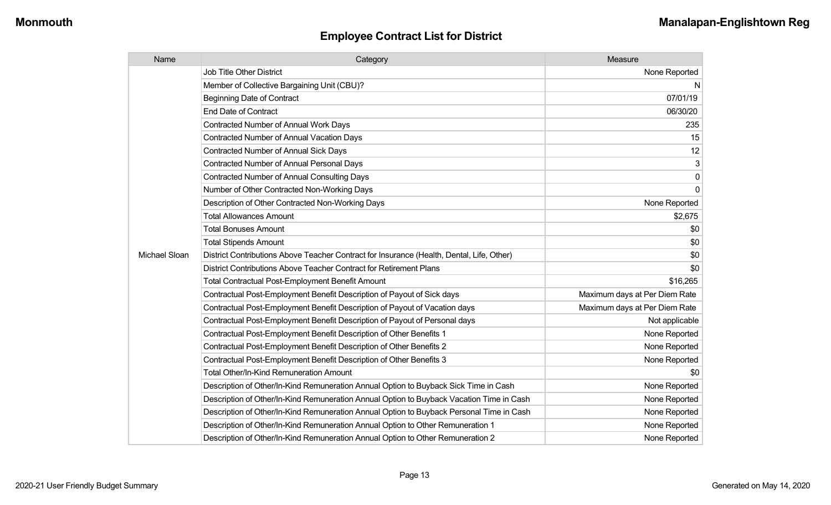| Name          | Category                                                                                  | Measure                       |
|---------------|-------------------------------------------------------------------------------------------|-------------------------------|
|               | <b>Job Title Other District</b>                                                           | None Reported                 |
|               | Member of Collective Bargaining Unit (CBU)?                                               | N                             |
|               | <b>Beginning Date of Contract</b>                                                         | 07/01/19                      |
|               | <b>End Date of Contract</b>                                                               | 06/30/20                      |
|               | <b>Contracted Number of Annual Work Days</b>                                              | 235                           |
|               | <b>Contracted Number of Annual Vacation Days</b>                                          | 15                            |
|               | <b>Contracted Number of Annual Sick Days</b>                                              | 12                            |
|               | <b>Contracted Number of Annual Personal Days</b>                                          | 3                             |
|               | <b>Contracted Number of Annual Consulting Days</b>                                        | $\pmb{0}$                     |
|               | Number of Other Contracted Non-Working Days                                               | $\overline{0}$                |
|               | Description of Other Contracted Non-Working Days                                          | None Reported                 |
|               | <b>Total Allowances Amount</b>                                                            | \$2,675                       |
|               | <b>Total Bonuses Amount</b>                                                               | \$0                           |
|               | <b>Total Stipends Amount</b>                                                              | \$0                           |
| Michael Sloan | District Contributions Above Teacher Contract for Insurance (Health, Dental, Life, Other) | \$0                           |
|               | District Contributions Above Teacher Contract for Retirement Plans                        | \$0                           |
|               | <b>Total Contractual Post-Employment Benefit Amount</b>                                   | \$16,265                      |
|               | Contractual Post-Employment Benefit Description of Payout of Sick days                    | Maximum days at Per Diem Rate |
|               | Contractual Post-Employment Benefit Description of Payout of Vacation days                | Maximum days at Per Diem Rate |
|               | Contractual Post-Employment Benefit Description of Payout of Personal days                | Not applicable                |
|               | Contractual Post-Employment Benefit Description of Other Benefits 1                       | None Reported                 |
|               | Contractual Post-Employment Benefit Description of Other Benefits 2                       | None Reported                 |
|               | Contractual Post-Employment Benefit Description of Other Benefits 3                       | None Reported                 |
|               | Total Other/In-Kind Remuneration Amount                                                   | \$0                           |
|               | Description of Other/In-Kind Remuneration Annual Option to Buyback Sick Time in Cash      | None Reported                 |
|               | Description of Other/In-Kind Remuneration Annual Option to Buyback Vacation Time in Cash  | None Reported                 |
|               | Description of Other/In-Kind Remuneration Annual Option to Buyback Personal Time in Cash  | None Reported                 |
|               | Description of Other/In-Kind Remuneration Annual Option to Other Remuneration 1           | None Reported                 |
|               | Description of Other/In-Kind Remuneration Annual Option to Other Remuneration 2           | None Reported                 |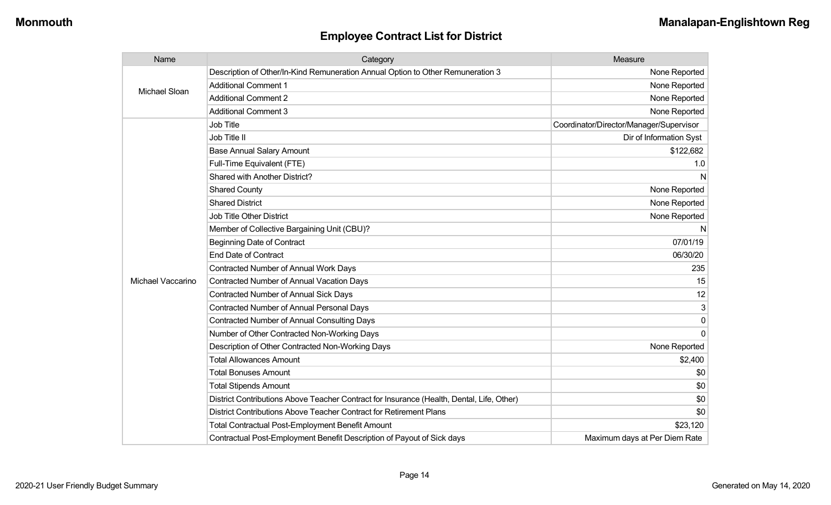| Name              | Category                                                                                  | Measure                                 |
|-------------------|-------------------------------------------------------------------------------------------|-----------------------------------------|
| Michael Sloan     | Description of Other/In-Kind Remuneration Annual Option to Other Remuneration 3           | None Reported                           |
|                   | <b>Additional Comment 1</b>                                                               | None Reported                           |
|                   | <b>Additional Comment 2</b>                                                               | None Reported                           |
|                   | <b>Additional Comment 3</b>                                                               | None Reported                           |
|                   | Job Title                                                                                 | Coordinator/Director/Manager/Supervisor |
|                   | Job Title II                                                                              | Dir of Information Syst                 |
|                   | <b>Base Annual Salary Amount</b>                                                          | \$122,682                               |
|                   | Full-Time Equivalent (FTE)                                                                | 1.0                                     |
|                   | Shared with Another District?                                                             | N                                       |
|                   | <b>Shared County</b>                                                                      | None Reported                           |
|                   | <b>Shared District</b>                                                                    | None Reported                           |
|                   | <b>Job Title Other District</b>                                                           | None Reported                           |
|                   | Member of Collective Bargaining Unit (CBU)?                                               | N                                       |
|                   | <b>Beginning Date of Contract</b>                                                         | 07/01/19                                |
|                   | <b>End Date of Contract</b>                                                               | 06/30/20                                |
|                   | Contracted Number of Annual Work Days                                                     | 235                                     |
| Michael Vaccarino | <b>Contracted Number of Annual Vacation Days</b>                                          | 15                                      |
|                   | <b>Contracted Number of Annual Sick Days</b>                                              | 12                                      |
|                   | Contracted Number of Annual Personal Days                                                 | 3                                       |
|                   | <b>Contracted Number of Annual Consulting Days</b>                                        | 0                                       |
|                   | Number of Other Contracted Non-Working Days                                               | 0                                       |
|                   | Description of Other Contracted Non-Working Days                                          | None Reported                           |
|                   | <b>Total Allowances Amount</b>                                                            | \$2,400                                 |
|                   | <b>Total Bonuses Amount</b>                                                               | \$0                                     |
|                   | <b>Total Stipends Amount</b>                                                              | \$0                                     |
|                   | District Contributions Above Teacher Contract for Insurance (Health, Dental, Life, Other) | \$0                                     |
|                   | District Contributions Above Teacher Contract for Retirement Plans                        | \$0                                     |
|                   | <b>Total Contractual Post-Employment Benefit Amount</b>                                   | \$23,120                                |
|                   | Contractual Post-Employment Benefit Description of Payout of Sick days                    | Maximum days at Per Diem Rate           |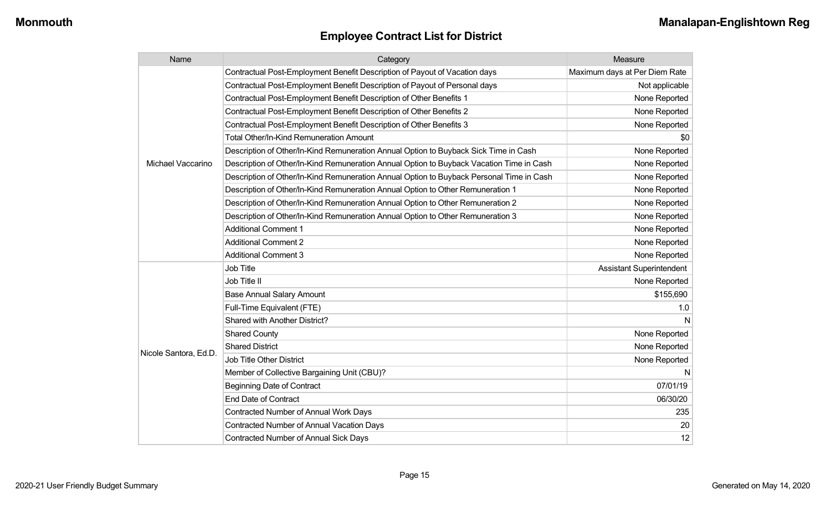| Name                  | Category                                                                                 | Measure                         |
|-----------------------|------------------------------------------------------------------------------------------|---------------------------------|
|                       | Contractual Post-Employment Benefit Description of Payout of Vacation days               | Maximum days at Per Diem Rate   |
|                       | Contractual Post-Employment Benefit Description of Payout of Personal days               | Not applicable                  |
|                       | Contractual Post-Employment Benefit Description of Other Benefits 1                      | None Reported                   |
|                       | Contractual Post-Employment Benefit Description of Other Benefits 2                      | None Reported                   |
|                       | Contractual Post-Employment Benefit Description of Other Benefits 3                      | None Reported                   |
|                       | <b>Total Other/In-Kind Remuneration Amount</b>                                           | \$0                             |
|                       | Description of Other/In-Kind Remuneration Annual Option to Buyback Sick Time in Cash     | None Reported                   |
| Michael Vaccarino     | Description of Other/In-Kind Remuneration Annual Option to Buyback Vacation Time in Cash | None Reported                   |
|                       | Description of Other/In-Kind Remuneration Annual Option to Buyback Personal Time in Cash | None Reported                   |
|                       | Description of Other/In-Kind Remuneration Annual Option to Other Remuneration 1          | None Reported                   |
|                       | Description of Other/In-Kind Remuneration Annual Option to Other Remuneration 2          | None Reported                   |
|                       | Description of Other/In-Kind Remuneration Annual Option to Other Remuneration 3          | None Reported                   |
|                       | <b>Additional Comment 1</b>                                                              | None Reported                   |
|                       | <b>Additional Comment 2</b>                                                              | None Reported                   |
|                       | <b>Additional Comment 3</b>                                                              | None Reported                   |
|                       | <b>Job Title</b>                                                                         | <b>Assistant Superintendent</b> |
|                       | Job Title II                                                                             | None Reported                   |
|                       | <b>Base Annual Salary Amount</b>                                                         | \$155,690                       |
|                       | Full-Time Equivalent (FTE)                                                               | 1.0                             |
|                       | <b>Shared with Another District?</b>                                                     | N                               |
|                       | <b>Shared County</b>                                                                     | None Reported                   |
|                       | <b>Shared District</b>                                                                   | None Reported                   |
| Nicole Santora, Ed.D. | <b>Job Title Other District</b>                                                          | None Reported                   |
|                       | Member of Collective Bargaining Unit (CBU)?                                              | N                               |
|                       | <b>Beginning Date of Contract</b>                                                        | 07/01/19                        |
|                       | <b>End Date of Contract</b>                                                              | 06/30/20                        |
|                       | Contracted Number of Annual Work Days                                                    | 235                             |
|                       | <b>Contracted Number of Annual Vacation Days</b>                                         | 20                              |
|                       | <b>Contracted Number of Annual Sick Days</b>                                             | 12                              |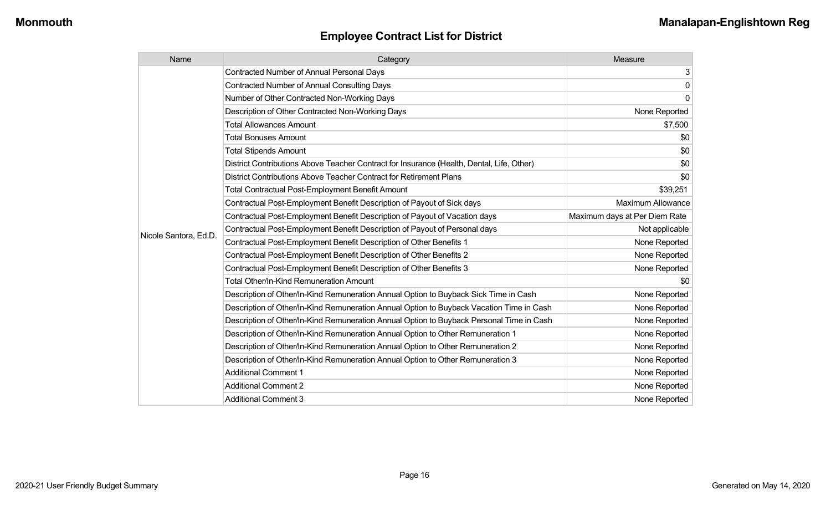| Name                  | Category                                                                                  | Measure                       |
|-----------------------|-------------------------------------------------------------------------------------------|-------------------------------|
|                       | <b>Contracted Number of Annual Personal Days</b>                                          | 3                             |
|                       | <b>Contracted Number of Annual Consulting Days</b>                                        | $\pmb{0}$                     |
|                       | Number of Other Contracted Non-Working Days                                               | $\mathbf 0$                   |
|                       | Description of Other Contracted Non-Working Days                                          | None Reported                 |
|                       | <b>Total Allowances Amount</b>                                                            | \$7,500                       |
|                       | <b>Total Bonuses Amount</b>                                                               | \$0                           |
|                       | <b>Total Stipends Amount</b>                                                              | \$0                           |
|                       | District Contributions Above Teacher Contract for Insurance (Health, Dental, Life, Other) | \$0                           |
|                       | District Contributions Above Teacher Contract for Retirement Plans                        | \$0                           |
|                       | <b>Total Contractual Post-Employment Benefit Amount</b>                                   | \$39,251                      |
|                       | Contractual Post-Employment Benefit Description of Payout of Sick days                    | <b>Maximum Allowance</b>      |
|                       | Contractual Post-Employment Benefit Description of Payout of Vacation days                | Maximum days at Per Diem Rate |
| Nicole Santora, Ed.D. | Contractual Post-Employment Benefit Description of Payout of Personal days                | Not applicable                |
|                       | Contractual Post-Employment Benefit Description of Other Benefits 1                       | None Reported                 |
|                       | Contractual Post-Employment Benefit Description of Other Benefits 2                       | None Reported                 |
|                       | Contractual Post-Employment Benefit Description of Other Benefits 3                       | None Reported                 |
|                       | Total Other/In-Kind Remuneration Amount                                                   | \$0                           |
|                       | Description of Other/In-Kind Remuneration Annual Option to Buyback Sick Time in Cash      | None Reported                 |
|                       | Description of Other/In-Kind Remuneration Annual Option to Buyback Vacation Time in Cash  | None Reported                 |
|                       | Description of Other/In-Kind Remuneration Annual Option to Buyback Personal Time in Cash  | None Reported                 |
|                       | Description of Other/In-Kind Remuneration Annual Option to Other Remuneration 1           | None Reported                 |
|                       | Description of Other/In-Kind Remuneration Annual Option to Other Remuneration 2           | None Reported                 |
|                       | Description of Other/In-Kind Remuneration Annual Option to Other Remuneration 3           | None Reported                 |
|                       | <b>Additional Comment 1</b>                                                               | None Reported                 |
|                       | <b>Additional Comment 2</b>                                                               | None Reported                 |
|                       | <b>Additional Comment 3</b>                                                               | None Reported                 |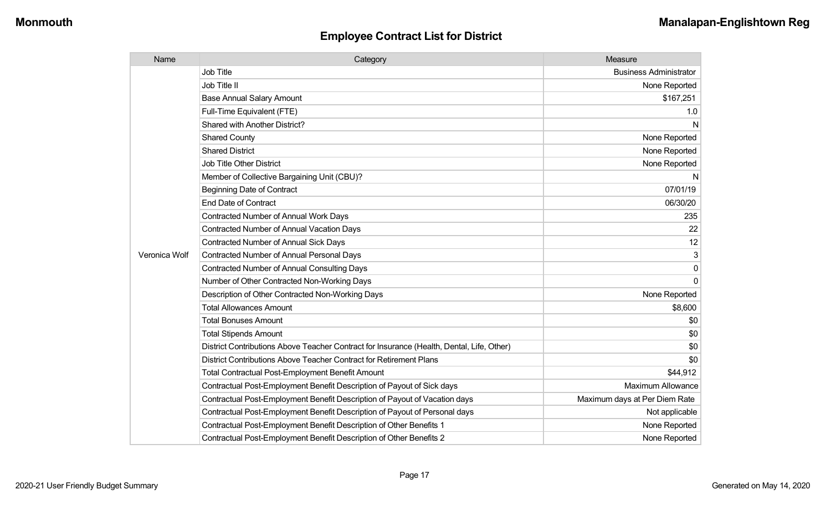| Name          | Category                                                                                  | Measure                       |
|---------------|-------------------------------------------------------------------------------------------|-------------------------------|
|               | Job Title                                                                                 | <b>Business Administrator</b> |
|               | Job Title II                                                                              | None Reported                 |
|               | <b>Base Annual Salary Amount</b>                                                          | \$167,251                     |
|               | Full-Time Equivalent (FTE)                                                                | 1.0                           |
|               | <b>Shared with Another District?</b>                                                      | N                             |
|               | <b>Shared County</b>                                                                      | None Reported                 |
|               | <b>Shared District</b>                                                                    | None Reported                 |
|               | <b>Job Title Other District</b>                                                           | None Reported                 |
|               | Member of Collective Bargaining Unit (CBU)?                                               | N                             |
|               | <b>Beginning Date of Contract</b>                                                         | 07/01/19                      |
|               | <b>End Date of Contract</b>                                                               | 06/30/20                      |
|               | <b>Contracted Number of Annual Work Days</b>                                              | 235                           |
|               | <b>Contracted Number of Annual Vacation Days</b>                                          | 22                            |
|               | Contracted Number of Annual Sick Days                                                     | 12                            |
| Veronica Wolf | <b>Contracted Number of Annual Personal Days</b>                                          | 3                             |
|               | <b>Contracted Number of Annual Consulting Days</b>                                        | 0                             |
|               | Number of Other Contracted Non-Working Days                                               | $\Omega$                      |
|               | Description of Other Contracted Non-Working Days                                          | None Reported                 |
|               | <b>Total Allowances Amount</b>                                                            | \$8,600                       |
|               | <b>Total Bonuses Amount</b>                                                               | \$0                           |
|               | <b>Total Stipends Amount</b>                                                              | \$0                           |
|               | District Contributions Above Teacher Contract for Insurance (Health, Dental, Life, Other) | \$0                           |
|               | District Contributions Above Teacher Contract for Retirement Plans                        | \$0                           |
|               | <b>Total Contractual Post-Employment Benefit Amount</b>                                   | \$44,912                      |
|               | Contractual Post-Employment Benefit Description of Payout of Sick days                    | <b>Maximum Allowance</b>      |
|               | Contractual Post-Employment Benefit Description of Payout of Vacation days                | Maximum days at Per Diem Rate |
|               | Contractual Post-Employment Benefit Description of Payout of Personal days                | Not applicable                |
|               | Contractual Post-Employment Benefit Description of Other Benefits 1                       | None Reported                 |
|               | Contractual Post-Employment Benefit Description of Other Benefits 2                       | None Reported                 |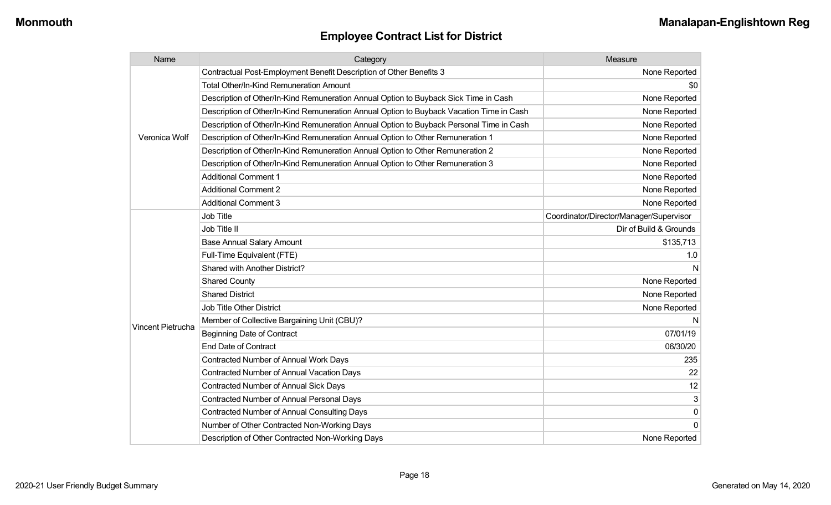| Name              | Category                                                                                 | Measure                                 |
|-------------------|------------------------------------------------------------------------------------------|-----------------------------------------|
|                   | Contractual Post-Employment Benefit Description of Other Benefits 3                      | None Reported                           |
|                   | Total Other/In-Kind Remuneration Amount                                                  | \$0                                     |
|                   | Description of Other/In-Kind Remuneration Annual Option to Buyback Sick Time in Cash     | None Reported                           |
|                   | Description of Other/In-Kind Remuneration Annual Option to Buyback Vacation Time in Cash | None Reported                           |
|                   | Description of Other/In-Kind Remuneration Annual Option to Buyback Personal Time in Cash | None Reported                           |
| Veronica Wolf     | Description of Other/In-Kind Remuneration Annual Option to Other Remuneration 1          | None Reported                           |
|                   | Description of Other/In-Kind Remuneration Annual Option to Other Remuneration 2          | None Reported                           |
|                   | Description of Other/In-Kind Remuneration Annual Option to Other Remuneration 3          | None Reported                           |
|                   | <b>Additional Comment 1</b>                                                              | None Reported                           |
|                   | <b>Additional Comment 2</b>                                                              | None Reported                           |
|                   | <b>Additional Comment 3</b>                                                              | None Reported                           |
|                   | <b>Job Title</b>                                                                         | Coordinator/Director/Manager/Supervisor |
|                   | Job Title II                                                                             | Dir of Build & Grounds                  |
|                   | <b>Base Annual Salary Amount</b>                                                         | \$135,713                               |
|                   | Full-Time Equivalent (FTE)                                                               | 1.0                                     |
|                   | Shared with Another District?                                                            | N                                       |
|                   | <b>Shared County</b>                                                                     | None Reported                           |
|                   | <b>Shared District</b>                                                                   | None Reported                           |
|                   | <b>Job Title Other District</b>                                                          | None Reported                           |
|                   | Member of Collective Bargaining Unit (CBU)?                                              | N                                       |
| Vincent Pietrucha | <b>Beginning Date of Contract</b>                                                        | 07/01/19                                |
|                   | <b>End Date of Contract</b>                                                              | 06/30/20                                |
|                   | <b>Contracted Number of Annual Work Days</b>                                             | 235                                     |
|                   | Contracted Number of Annual Vacation Days                                                | 22                                      |
|                   | Contracted Number of Annual Sick Days                                                    | 12                                      |
|                   | Contracted Number of Annual Personal Days                                                | 3                                       |
|                   | <b>Contracted Number of Annual Consulting Days</b>                                       | $\mathbf 0$                             |
|                   | Number of Other Contracted Non-Working Days                                              | $\Omega$                                |
|                   | Description of Other Contracted Non-Working Days                                         | None Reported                           |